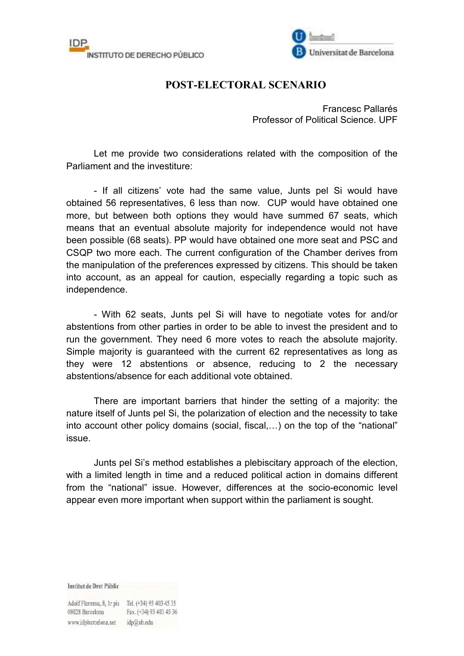



## **POST-ELECTORAL SCENARIO**

Francesc Pallarés Professor of Political Science. UPF

Let me provide two considerations related with the composition of the Parliament and the investiture:

- If all citizens' vote had the same value, Junts pel Si would have obtained 56 representatives, 6 less than now. CUP would have obtained one more, but between both options they would have summed 67 seats, which means that an eventual absolute majority for independence would not have been possible (68 seats). PP would have obtained one more seat and PSC and CSQP two more each. The current configuration of the Chamber derives from the manipulation of the preferences expressed by citizens. This should be taken into account, as an appeal for caution, especially regarding a topic such as independence.

- With 62 seats, Junts pel Si will have to negotiate votes for and/or abstentions from other parties in order to be able to invest the president and to run the government. They need 6 more votes to reach the absolute majority. Simple majority is guaranteed with the current 62 representatives as long as they were 12 abstentions or absence, reducing to 2 the necessary abstentions/absence for each additional vote obtained.

 There are important barriers that hinder the setting of a majority: the nature itself of Junts pel Si, the polarization of election and the necessity to take into account other policy domains (social, fiscal,…) on the top of the "national" issue.

 Junts pel Si's method establishes a plebiscitary approach of the election, with a limited length in time and a reduced political action in domains different from the "national" issue. However, differences at the socio-economic level appear even more important when support within the parliament is sought.

Institut de Dret Públic